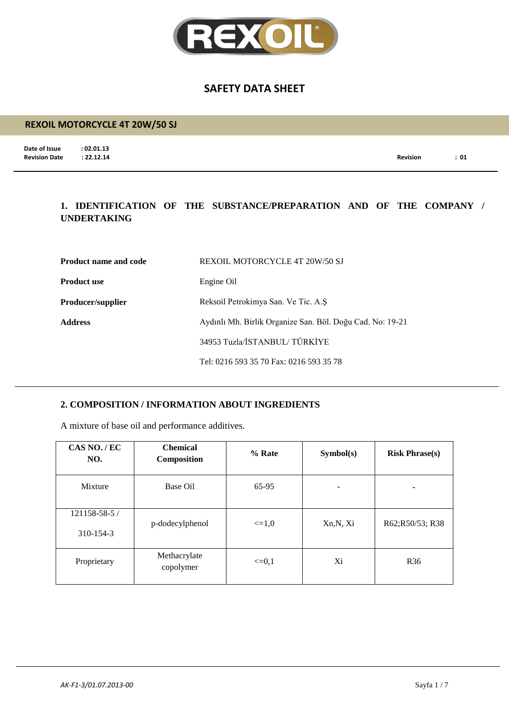

#### **REXOIL MOTORCYCLE 4T 20W/50 SJ**

**Date of Issue : 02.01.13**<br>**Revision Date : 22.12.14** 

**Revision Date : 22.12.14 Revision : 01**

## **1. IDENTIFICATION OF THE SUBSTANCE/PREPARATION AND OF THE COMPANY / UNDERTAKING**

| <b>Product name and code</b> | REXOIL MOTORCYCLE 4T 20W/50 SJ                            |
|------------------------------|-----------------------------------------------------------|
| <b>Product use</b>           | Engine Oil                                                |
| <b>Producer/supplier</b>     | Reksoil Petrokimya San. Ve Tic. A.S.                      |
| <b>Address</b>               | Aydınlı Mh. Birlik Organize San. Böl. Doğu Cad. No: 19-21 |
|                              | 34953 Tuzla/İSTANBUL/TÜRKİYE                              |
|                              | Tel: 0216 593 35 70 Fax: 0216 593 35 78                   |

#### **2. COMPOSITION / INFORMATION ABOUT INGREDIENTS**

A mixture of base oil and performance additives.

| CAS NO./EC<br>NO.          | <b>Chemical</b><br><b>Composition</b> | % Rate     | Symbol(s) | <b>Risk Phrase(s)</b> |
|----------------------------|---------------------------------------|------------|-----------|-----------------------|
| Mixture                    | Base Oil                              | 65-95      |           | -                     |
| 121158-58-5 /<br>310-154-3 | p-dodecylphenol                       | $\leq 1.0$ | Xn, N, Xi | R62;R50/53; R38       |
| Proprietary                | Methacrylate<br>copolymer             | $\leq=0,1$ | Xi        | R <sub>36</sub>       |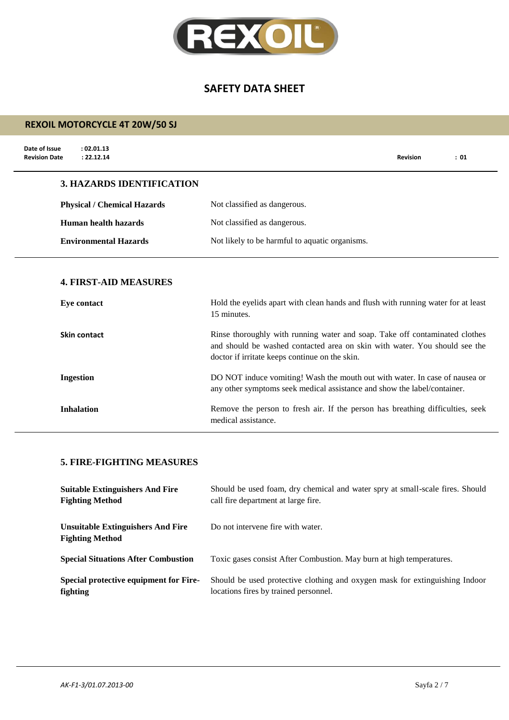

# **REXOIL MOTORCYCLE 4T 20W/50 SJ**

| Date of Issue<br>: 02.01.13<br>: 22.12.14<br><b>Revision Date</b> |                                                                                                                                                                                                             | <b>Revision</b> | : 01 |
|-------------------------------------------------------------------|-------------------------------------------------------------------------------------------------------------------------------------------------------------------------------------------------------------|-----------------|------|
| <b>3. HAZARDS IDENTIFICATION</b>                                  |                                                                                                                                                                                                             |                 |      |
| <b>Physical / Chemical Hazards</b>                                | Not classified as dangerous.                                                                                                                                                                                |                 |      |
| <b>Human health hazards</b>                                       | Not classified as dangerous.                                                                                                                                                                                |                 |      |
| <b>Environmental Hazards</b>                                      | Not likely to be harmful to aquatic organisms.                                                                                                                                                              |                 |      |
| <b>4. FIRST-AID MEASURES</b><br>Eye contact                       | Hold the eyelids apart with clean hands and flush with running water for at least<br>15 minutes.                                                                                                            |                 |      |
| <b>Skin contact</b>                                               | Rinse thoroughly with running water and soap. Take off contaminated clothes<br>and should be washed contacted area on skin with water. You should see the<br>doctor if irritate keeps continue on the skin. |                 |      |
| <b>Ingestion</b>                                                  | DO NOT induce vomiting! Wash the mouth out with water. In case of nausea or<br>any other symptoms seek medical assistance and show the label/container.                                                     |                 |      |
| <b>Inhalation</b>                                                 | Remove the person to fresh air. If the person has breathing difficulties, seek                                                                                                                              |                 |      |

medical assistance.

**5. FIRE-FIGHTING MEASURES**

| <b>Suitable Extinguishers And Fire</b>                             | Should be used foam, dry chemical and water spry at small-scale fires. Should |
|--------------------------------------------------------------------|-------------------------------------------------------------------------------|
| <b>Fighting Method</b>                                             | call fire department at large fire.                                           |
| <b>Unsuitable Extinguishers And Fire</b><br><b>Fighting Method</b> | Do not intervene fire with water.                                             |
| <b>Special Situations After Combustion</b>                         | Toxic gases consist After Combustion. May burn at high temperatures.          |
| Special protective equipment for Fire-                             | Should be used protective clothing and oxygen mask for extinguishing Indoor   |
| fighting                                                           | locations fires by trained personnel.                                         |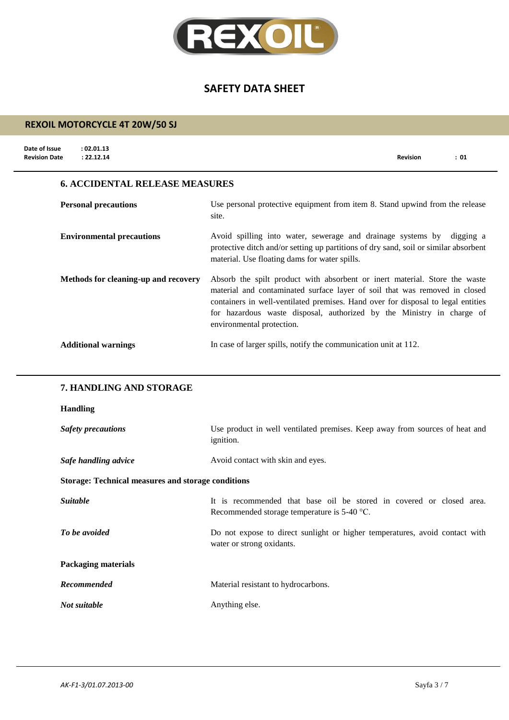

# **Date of Issue : 02.01.13 Revision Date : 22.12.14 Revision : 01 REXOIL MOTORCYCLE 4T 20W/50 SJ 6. ACCIDENTAL RELEASE MEASURES Personal precautions** Use personal protective equipment from item 8. Stand upwind from the release site. **Environmental precautions** Avoid spilling into water, sewerage and drainage systems by digging a protective ditch and/or setting up partitions of dry sand, soil or similar absorbent material. Use floating dams for water spills. **Methods for cleaning-up and recovery** Absorb the spilt product with absorbent or inert material. Store the waste material and contaminated surface layer of soil that was removed in closed containers in well-ventilated premises. Hand over for disposal to legal entities for hazardous waste disposal, authorized by the Ministry in charge of environmental protection. **Additional warnings** In case of larger spills, notify the communication unit at 112.

#### **7. HANDLING AND STORAGE**

#### **Handling**

| <b>Safety precautions</b>                                 | Use product in well ventilated premises. Keep away from sources of heat and<br><i>ignition.</i>                       |  |
|-----------------------------------------------------------|-----------------------------------------------------------------------------------------------------------------------|--|
| Safe handling advice                                      | Avoid contact with skin and eyes.                                                                                     |  |
| <b>Storage: Technical measures and storage conditions</b> |                                                                                                                       |  |
| <i>Suitable</i>                                           | It is recommended that base oil be stored in covered or closed area.<br>Recommended storage temperature is $5-40$ °C. |  |
| To be avoided                                             | Do not expose to direct sunlight or higher temperatures, avoid contact with<br>water or strong oxidants.              |  |
| <b>Packaging materials</b>                                |                                                                                                                       |  |
| Recommended                                               | Material resistant to hydrocarbons.                                                                                   |  |
| Not suitable                                              | Anything else.                                                                                                        |  |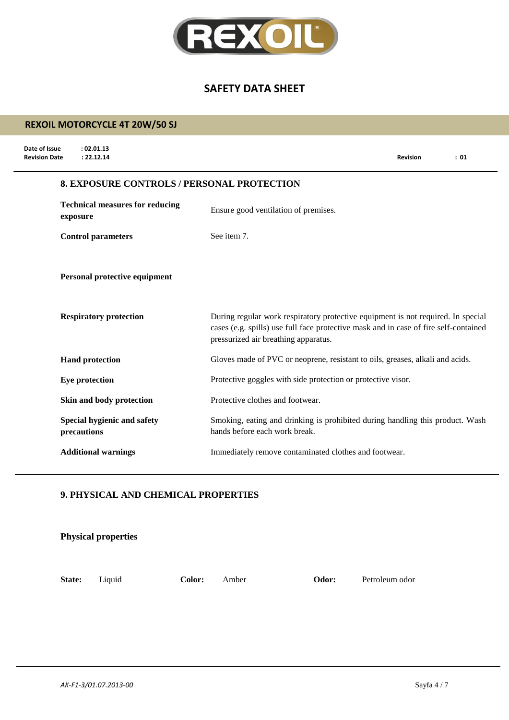

# **Date of Issue : 02.01.13 Revision Date : 22.12.14 Revision : 01 REXOIL MOTORCYCLE 4T 20W/50 SJ 8. EXPOSURE CONTROLS / PERSONAL PROTECTION Technical measures for reducing exposure** Ensure good ventilation of premises. **Control parameters** See item 7. **Personal protective equipment Respiratory protection** During regular work respiratory protective equipment is not required. In special cases (e.g. spills) use full face protective mask and in case of fire self-contained pressurized air breathing apparatus. **Hand protection** Gloves made of PVC or neoprene, resistant to oils, greases, alkali and acids. **Eye protection** Protective goggles with side protection or protective visor. **Skin and body protection** Protective clothes and footwear. **Special hygienic and safety precautions** Smoking, eating and drinking is prohibited during handling this product. Wash hands before each work break. **Additional warnings** Immediately remove contaminated clothes and footwear.

### **9. PHYSICAL AND CHEMICAL PROPERTIES**

|        | <b>Physical properties</b> |        |       |       |                |
|--------|----------------------------|--------|-------|-------|----------------|
| State: | Liquid                     | Color: | Amber | Odor: | Petroleum odor |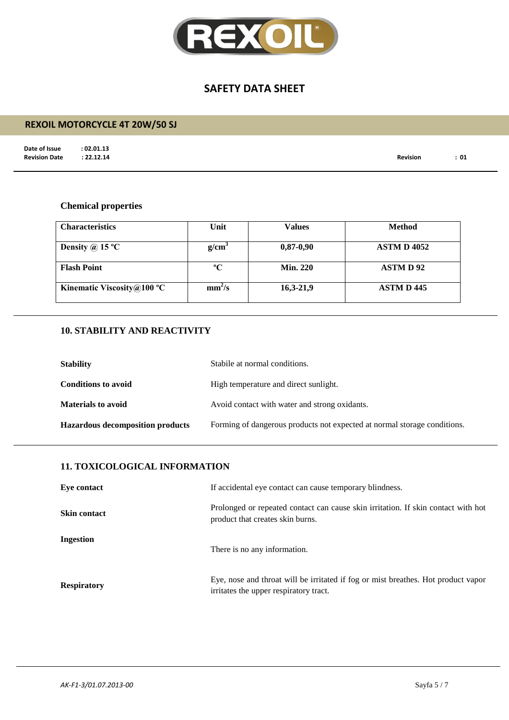

# **REXOIL MOTORCYCLE 4T 20W/50 SJ**

**Date of Issue : 02.01.13<br>Revision Date : 22.12.14** 

**Revision Date : 22.12.14 Revision : 01**

#### **Chemical properties**

| <b>Characteristics</b>     | Unit               | Values          | <b>Method</b>      |
|----------------------------|--------------------|-----------------|--------------------|
| Density @ 15 $^{\circ}$ C  | g/cm <sup>3</sup>  | $0,87-0,90$     | <b>ASTM D 4052</b> |
| <b>Flash Point</b>         | $\rm ^{o}C$        | <b>Min. 220</b> | <b>ASTMD92</b>     |
| Kinematic Viscosity@100 °C | mm <sup>2</sup> /s | $16,3-21,9$     | <b>ASTM D 445</b>  |

## **10. STABILITY AND REACTIVITY**

| <b>Stability</b>                        | Stabile at normal conditions.                                            |
|-----------------------------------------|--------------------------------------------------------------------------|
| <b>Conditions to avoid</b>              | High temperature and direct sunlight.                                    |
| <b>Materials to avoid</b>               | Avoid contact with water and strong oxidants.                            |
| <b>Hazardous decomposition products</b> | Forming of dangerous products not expected at normal storage conditions. |

#### **11. TOXICOLOGICAL INFORMATION**

| Eye contact         | If accidental eye contact can cause temporary blindness.                                                                    |
|---------------------|-----------------------------------------------------------------------------------------------------------------------------|
| <b>Skin contact</b> | Prolonged or repeated contact can cause skin irritation. If skin contact with hot<br>product that creates skin burns.       |
| Ingestion           | There is no any information.                                                                                                |
| <b>Respiratory</b>  | Eye, nose and throat will be irritated if fog or mist breathes. Hot product vapor<br>irritates the upper respiratory tract. |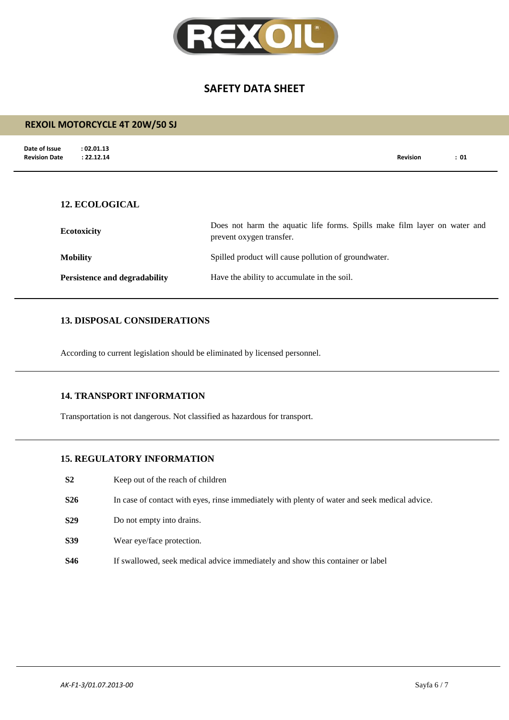

| <b>REXOIL MOTORCYCLE 4T 20W/50 SJ</b>                             |                                                                                                       |                 |      |
|-------------------------------------------------------------------|-------------------------------------------------------------------------------------------------------|-----------------|------|
| Date of Issue<br>: 02.01.13<br>: 22.12.14<br><b>Revision Date</b> |                                                                                                       | <b>Revision</b> | : 01 |
| <b>12. ECOLOGICAL</b>                                             |                                                                                                       |                 |      |
| <b>Ecotoxicity</b>                                                | Does not harm the aquatic life forms. Spills make film layer on water and<br>prevent oxygen transfer. |                 |      |
| <b>Mobility</b>                                                   | Spilled product will cause pollution of groundwater.                                                  |                 |      |
| <b>Persistence and degradability</b>                              | Have the ability to accumulate in the soil.                                                           |                 |      |

#### **13. DISPOSAL CONSIDERATIONS**

According to current legislation should be eliminated by licensed personnel.

#### **14. TRANSPORT INFORMATION**

Transportation is not dangerous. Not classified as hazardous for transport.

#### **15. REGULATORY INFORMATION**

- **S2** Keep out of the reach of children
- **S26** In case of contact with eyes, rinse immediately with plenty of water and seek medical advice.
- **S29** Do not empty into drains.
- **S39** Wear eye/face protection.
- **S46** If swallowed, seek medical advice immediately and show this container or label